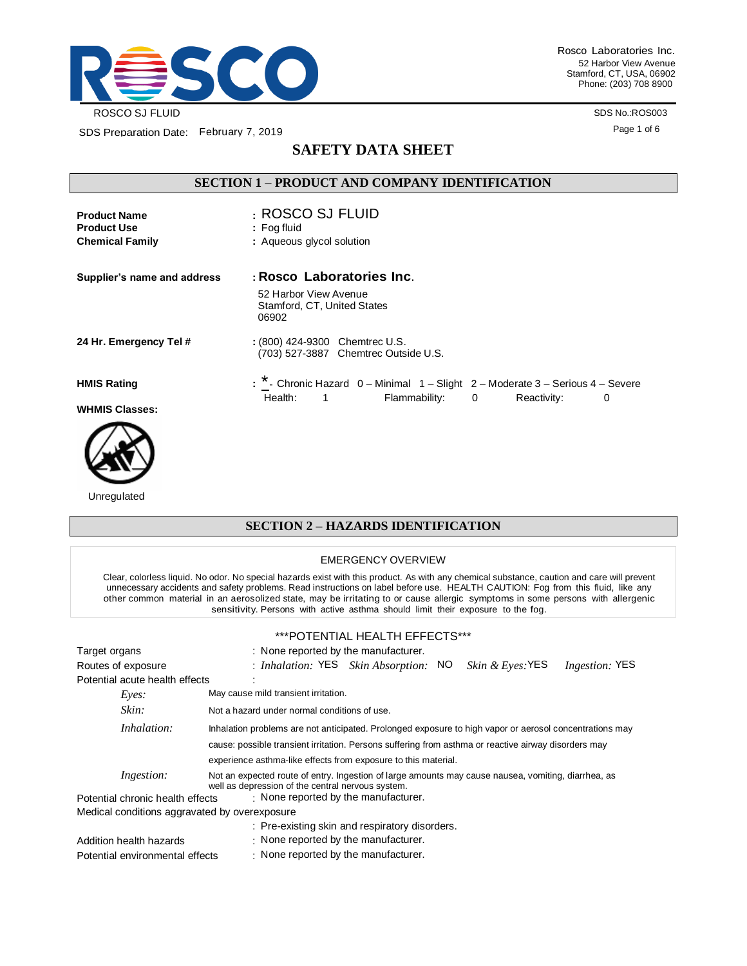

Rosco Laboratories Inc. 52 Harbor View Avenue Stamford, CT, USA, 06902 Phone: (203) 708 8900

> SDS No.:ROS003 Page 1 of 6

# **SAFETY DATA SHEET**

### **SECTION 1 – PRODUCT AND COMPANY IDENTIFICATION**

| <b>Product Name</b><br><b>Product Use</b><br><b>Chemical Family</b> | : ROSCO SJ FLUID<br>$:$ Fog fluid<br>: Aqueous glycol solution                                                                                |
|---------------------------------------------------------------------|-----------------------------------------------------------------------------------------------------------------------------------------------|
| Supplier's name and address                                         | : Rosco Laboratories Inc.<br>52 Harbor View Avenue<br>Stamford, CT, United States<br>06902                                                    |
| 24 Hr. Emergency Tel #                                              | : (800) 424-9300 Chemtrec U.S.<br>(703) 527-3887 Chemtrec Outside U.S.                                                                        |
| <b>HMIS Rating</b><br><b>WHMIS Classes:</b>                         | : * - Chronic Hazard 0 - Minimal 1 - Slight 2 - Moderate 3 - Serious 4 - Severe<br>Health:<br>Flammability: 0<br>Reactivity:<br>$\sim$ 1<br>0 |



Unregulated

## **SECTION 2 – HAZARDS IDENTIFICATION**

#### EMERGENCY OVERVIEW

Clear, colorless liquid. No odor. No special hazards exist with this product. As with any chemical substance, caution and care will prevent unnecessary accidents and safety problems. Read instructions on label before use. HEALTH CAUTION: Fog from this fluid, like any other common material in an aerosolized state, may be irritating to or cause allergic symptoms in some persons with allergenic sensitivity. Persons with active asthma should limit their exposure to the fog.

#### \*\*\*POTENTIAL HEALTH EFFECTS\*\*\*

| Target organs                                 | : None reported by the manufacturer.                                                                                                                     |  |  |  |  |
|-----------------------------------------------|----------------------------------------------------------------------------------------------------------------------------------------------------------|--|--|--|--|
| Routes of exposure                            | : Inhalation: YES Skin Absorption: NO<br>Skin & Eyes: YES<br><i>Ingestion:</i> YES                                                                       |  |  |  |  |
| Potential acute health effects                |                                                                                                                                                          |  |  |  |  |
| Eves:                                         | May cause mild transient irritation.                                                                                                                     |  |  |  |  |
| Skin:                                         | Not a hazard under normal conditions of use.                                                                                                             |  |  |  |  |
| Inhalation:                                   | Inhalation problems are not anticipated. Prolonged exposure to high vapor or aerosol concentrations may                                                  |  |  |  |  |
|                                               | cause: possible transient irritation. Persons suffering from asthma or reactive airway disorders may                                                     |  |  |  |  |
|                                               | experience asthma-like effects from exposure to this material.                                                                                           |  |  |  |  |
| <i>Ingestion:</i>                             | Not an expected route of entry. Ingestion of large amounts may cause nausea, vomiting, diarrhea, as<br>well as depression of the central nervous system. |  |  |  |  |
| Potential chronic health effects              | $\cdot$ None reported by the manufacturer.                                                                                                               |  |  |  |  |
| Medical conditions aggravated by overexposure |                                                                                                                                                          |  |  |  |  |
|                                               | : Pre-existing skin and respiratory disorders.                                                                                                           |  |  |  |  |
| Addition health hazards                       | $\cdot$ None reported by the manufacturer.                                                                                                               |  |  |  |  |
| Potential environmental effects               | : None reported by the manufacturer.                                                                                                                     |  |  |  |  |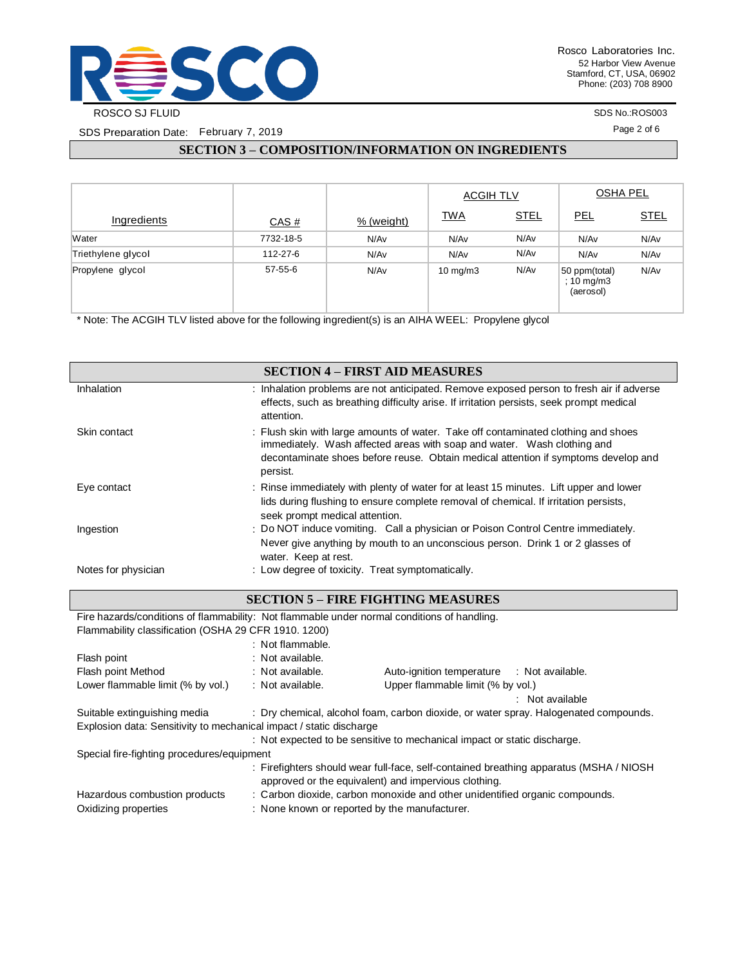

SDS No.:ROS003

Page 2 of 6

## **SECTION 3 – COMPOSITION/INFORMATION ON INGREDIENTS**

|                    |           |            | <b>ACGIH TLV</b>  |             | <b>OSHA PEL</b>                            |             |
|--------------------|-----------|------------|-------------------|-------------|--------------------------------------------|-------------|
| Ingredients        | CAS#      | % (weight) | <b>TWA</b>        | <b>STEL</b> | <b>PEL</b>                                 | <b>STEL</b> |
| Water              | 7732-18-5 | N/Av       | N/Av              | N/Av        | N/Av                                       | N/Av        |
| Triethylene glycol | 112-27-6  | N/Av       | N/Av              | N/Av        | N/Av                                       | N/Av        |
| Propylene glycol   | 57-55-6   | N/Av       | $10 \text{ mg/m}$ | N/Av        | 50 ppm(total)<br>$: 10$ mg/m3<br>(aerosol) | N/Av        |

\* Note: The ACGIH TLV listed above for the following ingredient(s) is an AIHA WEEL: Propylene glycol

Oxidizing properties : None known or reported by the manufacturer.

|                                                                                             |                                                  | <b>SECTION 4 - FIRST AID MEASURES</b>                                                                                                                         |
|---------------------------------------------------------------------------------------------|--------------------------------------------------|---------------------------------------------------------------------------------------------------------------------------------------------------------------|
| Inhalation                                                                                  |                                                  | : Inhalation problems are not anticipated. Remove exposed person to fresh air if adverse                                                                      |
|                                                                                             |                                                  | effects, such as breathing difficulty arise. If irritation persists, seek prompt medical                                                                      |
|                                                                                             | attention.                                       |                                                                                                                                                               |
| Skin contact                                                                                |                                                  | : Flush skin with large amounts of water. Take off contaminated clothing and shoes<br>immediately. Wash affected areas with soap and water. Wash clothing and |
|                                                                                             |                                                  | decontaminate shoes before reuse. Obtain medical attention if symptoms develop and                                                                            |
|                                                                                             | persist.                                         |                                                                                                                                                               |
| Eye contact                                                                                 |                                                  | : Rinse immediately with plenty of water for at least 15 minutes. Lift upper and lower                                                                        |
|                                                                                             |                                                  | lids during flushing to ensure complete removal of chemical. If irritation persists,                                                                          |
|                                                                                             | seek prompt medical attention.                   |                                                                                                                                                               |
| Ingestion                                                                                   |                                                  | : Do NOT induce vomiting. Call a physician or Poison Control Centre immediately.                                                                              |
|                                                                                             |                                                  | Never give anything by mouth to an unconscious person. Drink 1 or 2 glasses of                                                                                |
|                                                                                             | water. Keep at rest.                             |                                                                                                                                                               |
| Notes for physician                                                                         | : Low degree of toxicity. Treat symptomatically. |                                                                                                                                                               |
|                                                                                             |                                                  |                                                                                                                                                               |
|                                                                                             |                                                  | <b>SECTION 5 - FIRE FIGHTING MEASURES</b>                                                                                                                     |
| Fire hazards/conditions of flammability: Not flammable under normal conditions of handling. |                                                  |                                                                                                                                                               |
| Flammability classification (OSHA 29 CFR 1910. 1200)                                        |                                                  |                                                                                                                                                               |
|                                                                                             | : Not flammable.                                 |                                                                                                                                                               |
| Flash point                                                                                 | : Not available.                                 |                                                                                                                                                               |
| Flash point Method                                                                          | : Not available.                                 | Auto-ignition temperature : Not available.                                                                                                                    |
| Lower flammable limit (% by vol.)                                                           | : Not available.                                 | Upper flammable limit (% by vol.)                                                                                                                             |
|                                                                                             |                                                  | : Not available                                                                                                                                               |
| Suitable extinguishing media                                                                |                                                  | : Dry chemical, alcohol foam, carbon dioxide, or water spray. Halogenated compounds.                                                                          |
| Explosion data: Sensitivity to mechanical impact / static discharge                         |                                                  |                                                                                                                                                               |
|                                                                                             |                                                  | : Not expected to be sensitive to mechanical impact or static discharge.                                                                                      |
| Special fire-fighting procedures/equipment                                                  |                                                  |                                                                                                                                                               |
|                                                                                             |                                                  | : Firefighters should wear full-face, self-contained breathing apparatus (MSHA / NIOSH                                                                        |
|                                                                                             |                                                  | approved or the equivalent) and impervious clothing.                                                                                                          |
| Hazardous combustion products                                                               |                                                  | : Carbon dioxide, carbon monoxide and other unidentified organic compounds.                                                                                   |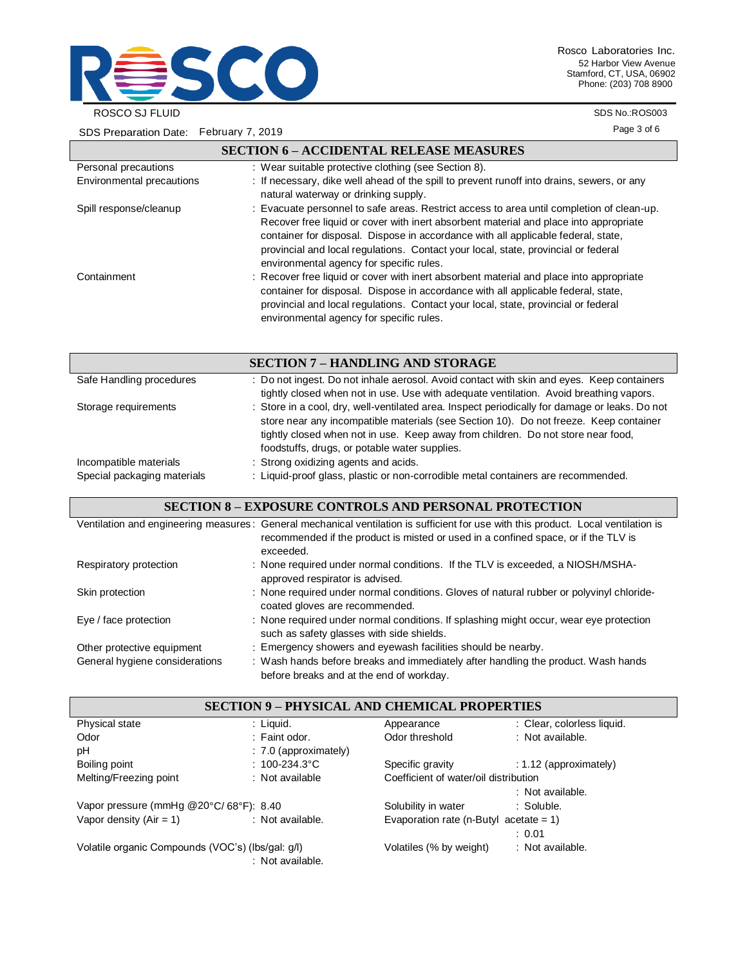

Rosco Laboratories Inc. 52 Harbor View Avenue Stamford, CT, USA, 06902 Phone: (203) 708 8900

SDS No.:ROS003

Page 3 of 6

|                           | <b>SECTION 6 - ACCIDENTAL RELEASE MEASURES</b>                                                                                                                                                                                                                                                                                                                                                            |
|---------------------------|-----------------------------------------------------------------------------------------------------------------------------------------------------------------------------------------------------------------------------------------------------------------------------------------------------------------------------------------------------------------------------------------------------------|
| Personal precautions      | : Wear suitable protective clothing (see Section 8).                                                                                                                                                                                                                                                                                                                                                      |
| Environmental precautions | : If necessary, dike well ahead of the spill to prevent runoff into drains, sewers, or any<br>natural waterway or drinking supply.                                                                                                                                                                                                                                                                        |
| Spill response/cleanup    | : Evacuate personnel to safe areas. Restrict access to area until completion of clean-up.<br>Recover free liquid or cover with inert absorbent material and place into appropriate<br>container for disposal. Dispose in accordance with all applicable federal, state,<br>provincial and local regulations. Contact your local, state, provincial or federal<br>environmental agency for specific rules. |
| Containment               | : Recover free liquid or cover with inert absorbent material and place into appropriate<br>container for disposal. Dispose in accordance with all applicable federal, state,<br>provincial and local regulations. Contact your local, state, provincial or federal<br>environmental agency for specific rules.                                                                                            |
|                           | <b>SECTION 7 – HANDLING AND STORAGE</b>                                                                                                                                                                                                                                                                                                                                                                   |

| Safe Handling procedures                              | : Do not ingest. Do not inhale aerosol. Avoid contact with skin and eyes. Keep containers<br>tightly closed when not in use. Use with adequate ventilation. Avoid breathing vapors.                                                                                                                                          |
|-------------------------------------------------------|------------------------------------------------------------------------------------------------------------------------------------------------------------------------------------------------------------------------------------------------------------------------------------------------------------------------------|
| Storage requirements                                  | : Store in a cool, dry, well-ventilated area. Inspect periodically for damage or leaks. Do not<br>store near any incompatible materials (see Section 10). Do not freeze. Keep container<br>tightly closed when not in use. Keep away from children. Do not store near food,<br>foodstuffs, drugs, or potable water supplies. |
| Incompatible materials<br>Special packaging materials | : Strong oxidizing agents and acids.<br>: Liquid-proof glass, plastic or non-corrodible metal containers are recommended.                                                                                                                                                                                                    |

### **SECTION 8 – EXPOSURE CONTROLS AND PERSONAL PROTECTION**

|                                | Ventilation and engineering measures: General mechanical ventilation is sufficient for use with this product. Local ventilation is<br>recommended if the product is misted or used in a confined space, or if the TLV is |
|--------------------------------|--------------------------------------------------------------------------------------------------------------------------------------------------------------------------------------------------------------------------|
|                                | exceeded.                                                                                                                                                                                                                |
| Respiratory protection         | : None required under normal conditions. If the TLV is exceeded, a NIOSH/MSHA-<br>approved respirator is advised.                                                                                                        |
| Skin protection                | : None required under normal conditions. Gloves of natural rubber or polyvinyl chloride-<br>coated gloves are recommended.                                                                                               |
| Eye / face protection          | : None required under normal conditions. If splashing might occur, wear eye protection<br>such as safety glasses with side shields.                                                                                      |
| Other protective equipment     | : Emergency showers and eyewash facilities should be nearby.                                                                                                                                                             |
| General hygiene considerations | : Wash hands before breaks and immediately after handling the product. Wash hands<br>before breaks and at the end of workday.                                                                                            |

| <b>SECTION 9 – PHYSICAL AND CHEMICAL PROPERTIES</b> |                         |                                           |                            |  |
|-----------------------------------------------------|-------------------------|-------------------------------------------|----------------------------|--|
| Physical state                                      | : Liguid.               | Appearance                                | : Clear, colorless liquid. |  |
| Odor                                                | : Faint odor.           | Odor threshold                            | : Not available.           |  |
| pH                                                  | $: 7.0$ (approximately) |                                           |                            |  |
| Boiling point                                       | : $100 - 234.3$ °C      | Specific gravity                          | $: 1.12$ (approximately)   |  |
| Melting/Freezing point                              | : Not available         | Coefficient of water/oil distribution     |                            |  |
|                                                     |                         |                                           | : Not available.           |  |
| Vapor pressure (mmHg @20°C/68°F): 8.40              |                         | Solubility in water                       | : Soluble.                 |  |
| Vapor density $(Air = 1)$                           | : Not available.        | Evaporation rate (n-Butyl acetate = $1$ ) |                            |  |
|                                                     |                         |                                           | : 0.01                     |  |
| Volatile organic Compounds (VOC's) (lbs/gal: g/l)   | : Not available.        | Volatiles (% by weight)                   | : Not available.           |  |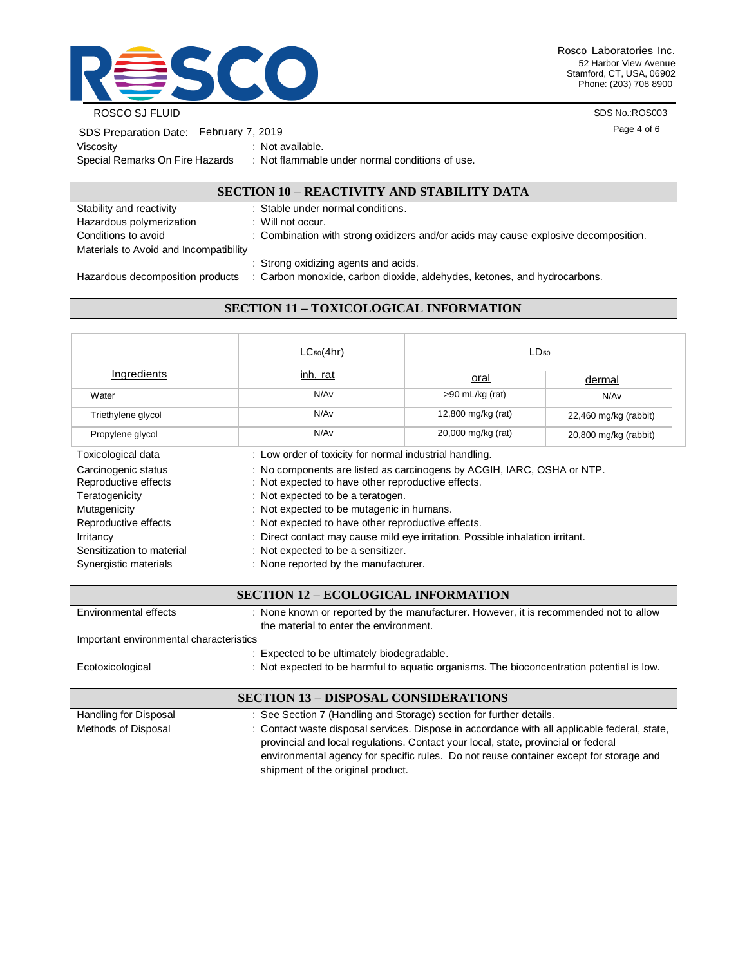

Rosco Laboratories Inc. 52 Harbor View Avenue Stamford, CT, USA, 06902 Phone: (203) 708 8900

SDS No.:ROS003

Page 4 of 6

| SDS Preparation Date: February 7, 2019 |  |                     |
|----------------------------------------|--|---------------------|
| Viscosity                              |  | : Not available.    |
| Special Remarks On Fire Hazards        |  | : Not flammable und |

der normal conditions of use.

### **SECTION 10 – REACTIVITY AND STABILITY DATA**

| Stability and reactivity               | : Stable under normal conditions.                                                   |
|----------------------------------------|-------------------------------------------------------------------------------------|
| Hazardous polymerization               | : Will not occur.                                                                   |
| Conditions to avoid                    | : Combination with strong oxidizers and/or acids may cause explosive decomposition. |
| Materials to Avoid and Incompatibility |                                                                                     |
|                                        | : Strong oxidizing agents and acids.                                                |
| Hazardous decomposition products       | : Carbon monoxide, carbon dioxide, aldehydes, ketones, and hydrocarbons.            |

# **SECTION 11 – TOXICOLOGICAL INFORMATION**

|                                                                                                                                                                          | $LC_{50}(4hr)$                                                                                                                                                                                                                                                                                                                                                                                                                      | LD <sub>50</sub>   |                       |  |  |
|--------------------------------------------------------------------------------------------------------------------------------------------------------------------------|-------------------------------------------------------------------------------------------------------------------------------------------------------------------------------------------------------------------------------------------------------------------------------------------------------------------------------------------------------------------------------------------------------------------------------------|--------------------|-----------------------|--|--|
| Ingredients                                                                                                                                                              | inh, rat                                                                                                                                                                                                                                                                                                                                                                                                                            | <u>oral</u>        | dermal                |  |  |
| Water                                                                                                                                                                    | N/Av                                                                                                                                                                                                                                                                                                                                                                                                                                | $>90$ mL/kg (rat)  | N/Av                  |  |  |
| Triethylene glycol                                                                                                                                                       | N/Av                                                                                                                                                                                                                                                                                                                                                                                                                                | 12,800 mg/kg (rat) | 22,460 mg/kg (rabbit) |  |  |
| Propylene glycol                                                                                                                                                         | N/Av                                                                                                                                                                                                                                                                                                                                                                                                                                | 20,000 mg/kg (rat) | 20,800 mg/kg (rabbit) |  |  |
| Toxicological data                                                                                                                                                       | : Low order of toxicity for normal industrial handling.                                                                                                                                                                                                                                                                                                                                                                             |                    |                       |  |  |
| Carcinogenic status<br>Reproductive effects<br>Teratogenicity<br>Mutagenicity<br>Reproductive effects<br>Irritancy<br>Sensitization to material<br>Synergistic materials | : No components are listed as carcinogens by ACGIH, IARC, OSHA or NTP.<br>: Not expected to have other reproductive effects.<br>: Not expected to be a teratogen.<br>: Not expected to be mutagenic in humans.<br>: Not expected to have other reproductive effects.<br>: Direct contact may cause mild eye irritation. Possible inhalation irritant.<br>: Not expected to be a sensitizer.<br>: None reported by the manufacturer. |                    |                       |  |  |

| <b>SECTION 12 – ECOLOGICAL INFORMATION</b>  |                                                                                                                                                                                                                                                                              |  |
|---------------------------------------------|------------------------------------------------------------------------------------------------------------------------------------------------------------------------------------------------------------------------------------------------------------------------------|--|
| Environmental effects                       | : None known or reported by the manufacturer. However, it is recommended not to allow<br>the material to enter the environment.                                                                                                                                              |  |
| Important environmental characteristics     |                                                                                                                                                                                                                                                                              |  |
|                                             | : Expected to be ultimately biodegradable.                                                                                                                                                                                                                                   |  |
| Ecotoxicological                            | : Not expected to be harmful to aquatic organisms. The bioconcentration potential is low.                                                                                                                                                                                    |  |
| <b>SECTION 13 – DISPOSAL CONSIDERATIONS</b> |                                                                                                                                                                                                                                                                              |  |
| Handling for Disposal                       | : See Section 7 (Handling and Storage) section for further details.                                                                                                                                                                                                          |  |
| Methods of Disposal                         | : Contact waste disposal services. Dispose in accordance with all applicable federal, state,<br>provincial and local regulations. Contact your local, state, provincial or federal<br>environmental agency for specific rules. Do not reuse container except for storage and |  |

shipment of the original product.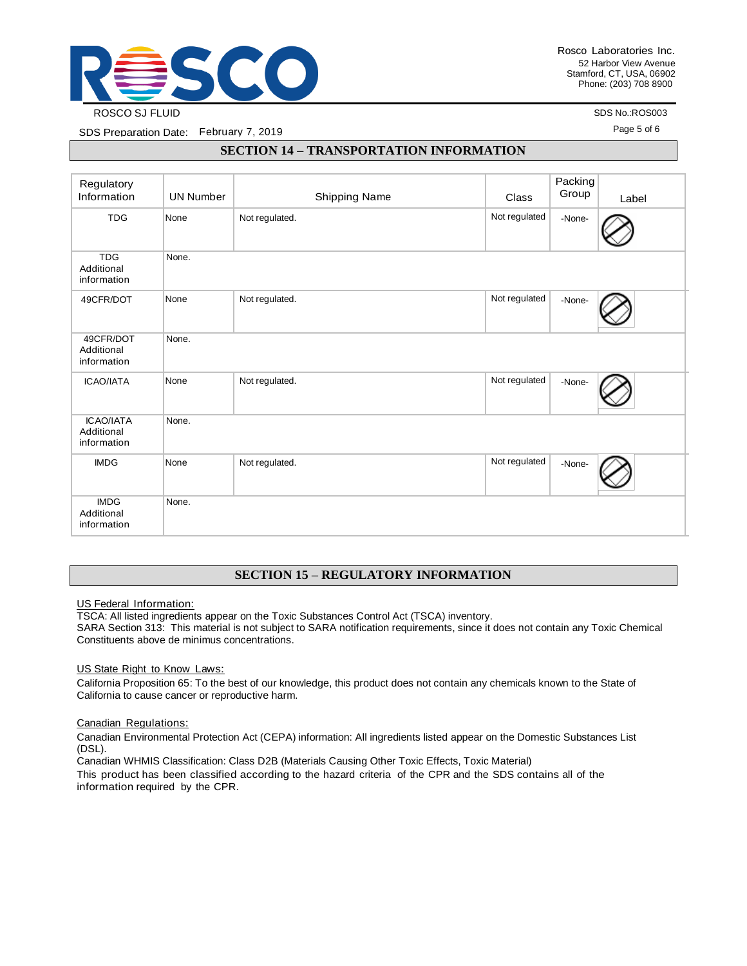

SDS No.:ROS003

Page 5 of 6

SDS Preparation Date: February 7, 2019

#### **SECTION 14 – TRANSPORTATION INFORMATION**

| Regulatory<br>Information                     | <b>UN Number</b> | Shipping Name  | Class         | Packing<br>Group | Label |
|-----------------------------------------------|------------------|----------------|---------------|------------------|-------|
| <b>TDG</b>                                    | None             | Not regulated. | Not regulated | -None-           |       |
| <b>TDG</b><br>Additional<br>information       | None.            |                |               |                  |       |
| 49CFR/DOT                                     | None             | Not regulated. | Not regulated | -None-           |       |
| 49CFR/DOT<br>Additional<br>information        | None.            |                |               |                  |       |
| <b>ICAO/IATA</b>                              | None             | Not regulated. | Not regulated | -None-           |       |
| <b>ICAO/IATA</b><br>Additional<br>information | None.            |                |               |                  |       |
| <b>IMDG</b>                                   | None             | Not regulated. | Not regulated | -None-           |       |
| <b>IMDG</b><br>Additional<br>information      | None.            |                |               |                  |       |

### **SECTION 15 – REGULATORY INFORMATION**

US Federal Information:

TSCA: All listed ingredients appear on the Toxic Substances Control Act (TSCA) inventory.

SARA Section 313: This material is not subject to SARA notification requirements, since it does not contain any Toxic Chemical Constituents above de minimus concentrations.

US State Right to Know Laws:

California Proposition 65: To the best of our knowledge, this product does not contain any chemicals known to the State of California to cause cancer or reproductive harm.

#### Canadian Regulations:

Canadian Environmental Protection Act (CEPA) information: All ingredients listed appear on the Domestic Substances List (DSL).

Canadian WHMIS Classification: Class D2B (Materials Causing Other Toxic Effects, Toxic Material)

This product has been classified according to the hazard criteria of the CPR and the SDS contains all of the information required by the CPR.